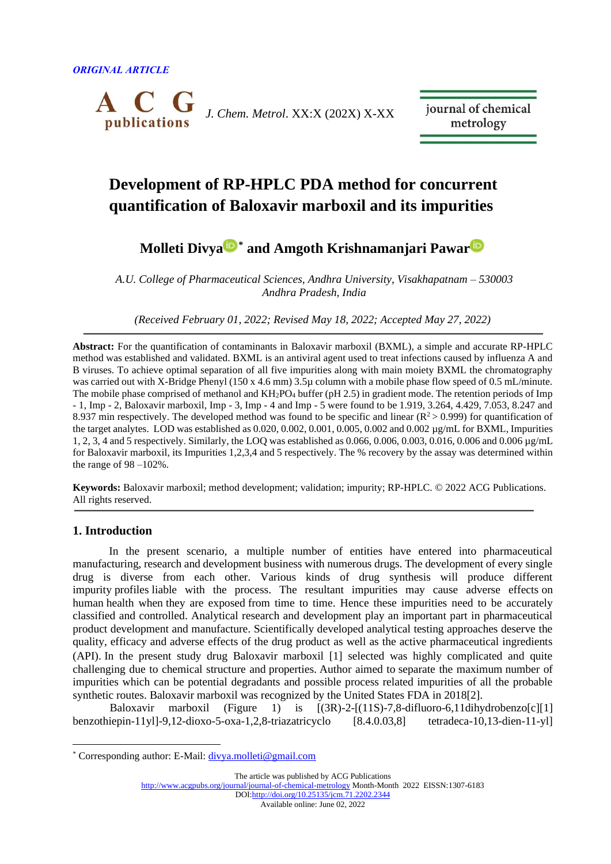

journal of chemical metrology

# **Development of RP-HPLC PDA method for concurrent quantification of Baloxavir marboxil and its impurities**

**Molleti Divya [\\*](https://orcid.org/0000-0003-3013-0212) and Amgoth Krishnamanjari Pawar**

*A.U. College of Pharmaceutical Sciences, Andhra University, Visakhapatnam – 530003 Andhra Pradesh, India*

*(Received February 01, 2022; Revised May 18, 2022; Accepted May 27, 2022)*

**Abstract:** For the quantification of contaminants in Baloxavir marboxil (BXML), a simple and accurate RP-HPLC method was established and validated. BXML is an antiviral agent used to treat infections caused by influenza A and B viruses. To achieve optimal separation of all five impurities along with main moiety BXML the chromatography was carried out with X-Bridge Phenyl (150 x 4.6 mm) 3.5µ column with a mobile phase flow speed of 0.5 mL/minute. The mobile phase comprised of methanol and KH<sub>2</sub>PO<sub>4</sub> buffer (pH 2.5) in gradient mode. The retention periods of Imp - 1, Imp - 2, Baloxavir marboxil, Imp - 3, Imp - 4 and Imp - 5 were found to be 1.919, 3.264, 4.429, 7.053, 8.247 and 8.937 min respectively. The developed method was found to be specific and linear  $(R^2 > 0.999)$  for quantification of the target analytes. LOD was established as 0.020, 0.002, 0.001, 0.005, 0.002 and 0.002 µg/mL for BXML, Impurities 1, 2, 3, 4 and 5 respectively. Similarly, the LOQ was established as 0.066, 0.006, 0.003, 0.016, 0.006 and 0.006 µg/mL for Baloxavir marboxil, its Impurities 1,2,3,4 and 5 respectively. The % recovery by the assay was determined within the range of 98 –102%.

**Keywords:** Baloxavir marboxil; method development; validation; impurity; RP-HPLC. © 2022 ACG Publications. All rights reserved.

## **1. Introduction**

In the present scenario, a multiple number of entities have entered into pharmaceutical manufacturing, research and development business with numerous drugs. The development of every single drug is diverse from each other. Various kinds of drug synthesis will produce different impurity profiles liable with the process. The resultant impurities may cause adverse effects on human health when they are exposed from time to time. Hence these impurities need to be accurately classified and controlled. Analytical research and development play an important part in pharmaceutical product development and manufacture. Scientifically developed analytical testing approaches deserve the quality, efficacy and adverse effects of the drug product as well as the active pharmaceutical ingredients (API). In the present study drug Baloxavir marboxil [1] selected was highly complicated and quite challenging due to chemical structure and properties. Author aimed to separate the maximum number of impurities which can be potential degradants and possible process related impurities of all the probable synthetic routes. Baloxavir marboxil was recognized by the United States FDA in 2018[2].

Baloxavir marboxil (Figure 1) is  $[(3R)-2-[(11S)-7.8-difluoro-6,11dihydrobenzo[c]]1]$ benzothiepin-11yl]-9,12-dioxo-5-oxa-1,2,8-triazatricyclo [8.4.0.03,8] tetradeca-10,13-dien-11-yl]

The article was published by ACG Publications

<http://www.acgpubs.org/journal/journal-of-chemical-metrology> Month-Month 2022 EISSN:1307-6183 DOI[:http://doi.org/10.25135/jcm.71.2202.2344](http://doi.org/10.25135/jcm.71.2202.2344)

Available online: June 02, 2022

<sup>\*</sup> Corresponding author: E-Mail: [divya.molleti@gmail.com](mailto:divya.molleti@gmail.com)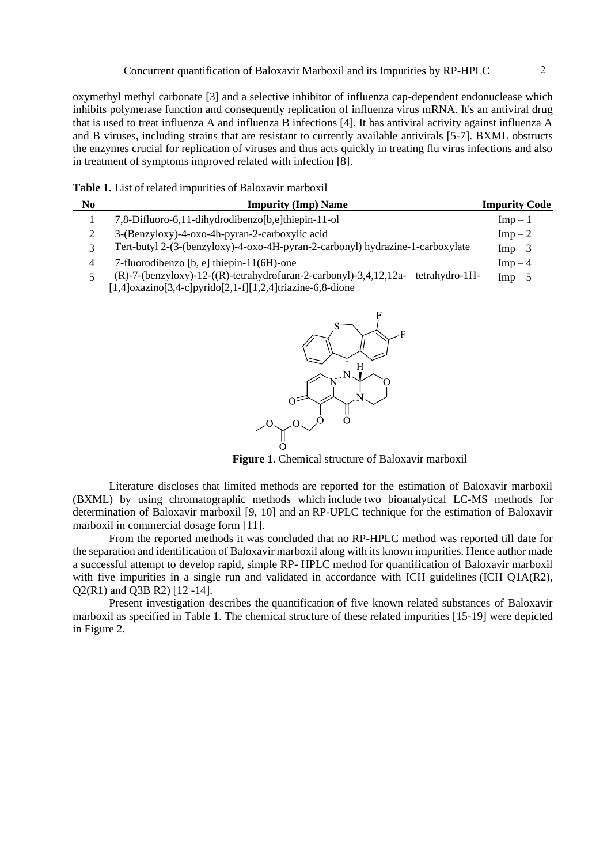oxymethyl methyl carbonate [3] and a selective inhibitor of influenza cap-dependent endonuclease which inhibits polymerase function and consequently replication of influenza virus mRNA. It's an antiviral drug that is used to treat influenza A and influenza B infections [4]. It has antiviral activity against influenza A and B viruses, including strains that are resistant to currently available antivirals [5-7]. BXML obstructs the enzymes crucial for replication of viruses and thus acts quickly in treating flu virus infections and also in treatment of symptoms improved related with infection [8].

| No | <b>Impurity (Imp) Name</b>                                                                 | <b>Impurity Code</b> |
|----|--------------------------------------------------------------------------------------------|----------------------|
|    | 7,8-Difluoro-6,11-dihydrodibenzo[b,e]thiepin-11-ol                                         | $Imp-1$              |
|    | 3-(Benzyloxy)-4-oxo-4h-pyran-2-carboxylic acid                                             | $Imp-2$              |
|    | Tert-butyl 2-(3-(benzyloxy)-4-oxo-4H-pyran-2-carbonyl) hydrazine-1-carboxylate             | $Imp-3$              |
| 4  | 7-fluorodibenzo [b, e] thiepin-11(6H)-one                                                  | $Imp-4$              |
|    | $(R)$ -7- $(benzyloxy)$ -12- $((R)$ -tetrahydrofuran-2-carbonyl)-3,4,12,12a-tetrahydro-1H- | $Imp-5$              |
|    | $[1,4]$ oxazino $[3,4-c]$ pyrido $[2,1-f][1,2,4]$ triazine-6,8-dione                       |                      |



 **Figure 1**. Chemical structure of Baloxavir marboxil

Literature discloses that limited methods are reported for the estimation of Baloxavir marboxil (BXML) by using chromatographic methods which include two bioanalytical LC-MS methods for determination of Baloxavir marboxil [9, 10] and an RP-UPLC technique for the estimation of Baloxavir marboxil in commercial dosage form [11].

From the reported methods it was concluded that no RP-HPLC method was reported till date for the separation and identification of Baloxavir marboxil along with its known impurities. Hence author made a successful attempt to develop rapid, simple RP- HPLC method for quantification of Baloxavir marboxil with five impurities in a single run and validated in accordance with ICH guidelines (ICH Q1A(R2), Q2(R1) and Q3B R2) [12 -14].

Present investigation describes the quantification of five known related substances of Baloxavir marboxil as specified in Table 1. The chemical structure of these related impurities [15-19] were depicted in Figure 2.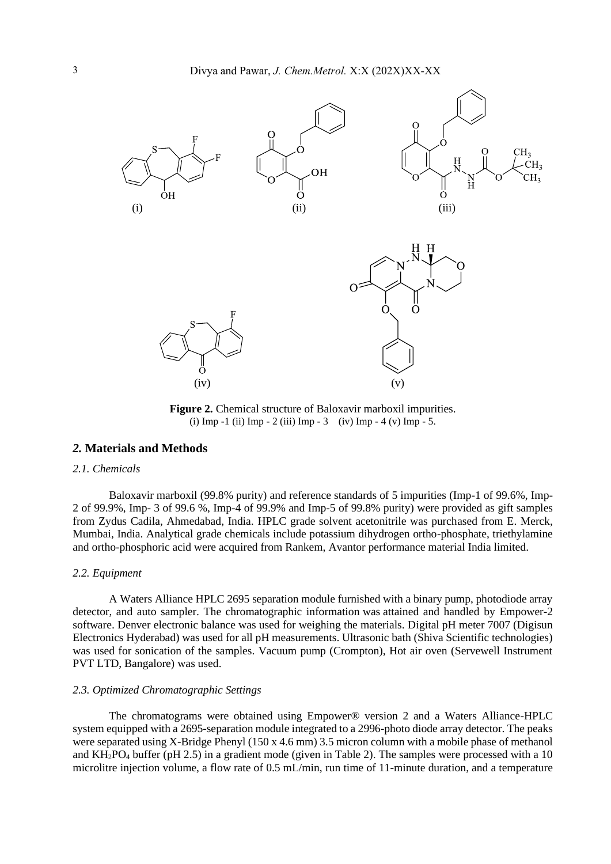

**Figure 2.** Chemical structure of Baloxavir marboxil impurities. (i) Imp -1 (ii) Imp - 2 (iii) Imp - 3 (iv) Imp - 4 (v) Imp - 5.

## *2.* **Materials and Methods**

#### *2.1. Chemicals*

Baloxavir marboxil (99.8% purity) and reference standards of 5 impurities (Imp-1 of 99.6%, Imp-2 of 99.9%, Imp- 3 of 99.6 %, Imp-4 of 99.9% and Imp-5 of 99.8% purity) were provided as gift samples from Zydus Cadila, Ahmedabad, India. HPLC grade solvent acetonitrile was purchased from E. Merck, Mumbai, India. Analytical grade chemicals include potassium dihydrogen ortho-phosphate, triethylamine and ortho-phosphoric acid were acquired from Rankem, Avantor performance material India limited.

#### *2.2. Equipment*

A Waters Alliance HPLC 2695 separation module furnished with a binary pump, photodiode array detector, and auto sampler. The chromatographic information was attained and handled by Empower-2 software. Denver electronic balance was used for weighing the materials. Digital pH meter 7007 (Digisun Electronics Hyderabad) was used for all pH measurements. Ultrasonic bath (Shiva Scientific technologies) was used for sonication of the samples. Vacuum pump (Crompton), Hot air oven (Servewell Instrument PVT LTD, Bangalore) was used.

## *2.3. Optimized Chromatographic Settings*

The chromatograms were obtained using Empower® version 2 and a Waters Alliance-HPLC system equipped with a 2695-separation module integrated to a 2996-photo diode array detector. The peaks were separated using X-Bridge Phenyl (150 x 4.6 mm) 3.5 micron column with a mobile phase of methanol and  $KH<sub>2</sub>PO<sub>4</sub> buffer (pH 2.5) in a gradient mode (given in Table 2). The samples were processed with a 10$ microlitre injection volume, a flow rate of 0.5 mL/min, run time of 11-minute duration, and a temperature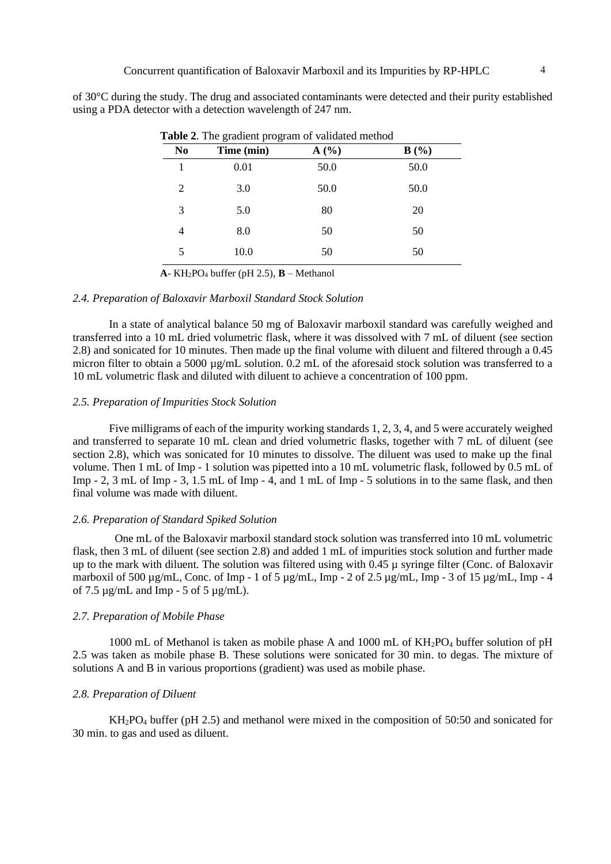of 30°C during the study. The drug and associated contaminants were detected and their purity established using a PDA detector with a detection wavelength of 247 nm.

| N <sub>0</sub> | Time (min) | A(%) | B(%) |
|----------------|------------|------|------|
|                | 0.01       | 50.0 | 50.0 |
| 2              | 3.0        | 50.0 | 50.0 |
| 3              | 5.0        | 80   | 20   |
| 4              | 8.0        | 50   | 50   |
| 5              | 10.0       | 50   | 50   |

 $A - KH<sub>2</sub>PO<sub>4</sub> buffer (pH 2.5), B - Methanol$ 

## *2.4. Preparation of Baloxavir Marboxil Standard Stock Solution*

In a state of analytical balance 50 mg of Baloxavir marboxil standard was carefully weighed and transferred into a 10 mL dried volumetric flask, where it was dissolved with 7 mL of diluent (see section 2.8) and sonicated for 10 minutes. Then made up the final volume with diluent and filtered through a 0.45 micron filter to obtain a 5000  $\mu$ g/mL solution. 0.2 mL of the aforesaid stock solution was transferred to a 10 mL volumetric flask and diluted with diluent to achieve a concentration of 100 ppm.

#### *2.5. Preparation of Impurities Stock Solution*

Five milligrams of each of the impurity working standards 1, 2, 3, 4, and 5 were accurately weighed and transferred to separate 10 mL clean and dried volumetric flasks, together with 7 mL of diluent (see section 2.8), which was sonicated for 10 minutes to dissolve. The diluent was used to make up the final volume. Then 1 mL of Imp - 1 solution was pipetted into a 10 mL volumetric flask, followed by 0.5 mL of Imp - 2, 3 mL of Imp - 3, 1.5 mL of Imp - 4, and 1 mL of Imp - 5 solutions in to the same flask, and then final volume was made with diluent.

#### *2.6. Preparation of Standard Spiked Solution*

 One mL of the Baloxavir marboxil standard stock solution was transferred into 10 mL volumetric flask, then 3 mL of diluent (see section 2.8) and added 1 mL of impurities stock solution and further made up to the mark with diluent. The solution was filtered using with  $0.45$  u syringe filter (Conc. of Baloxavir marboxil of 500 µg/mL, Conc. of Imp - 1 of 5 µg/mL, Imp - 2 of 2.5 µg/mL, Imp - 3 of 15 µg/mL, Imp - 4 of  $7.5 \mu$ g/mL and Imp -  $5$  of  $5 \mu$ g/mL).

#### *2.7. Preparation of Mobile Phase*

1000 mL of Methanol is taken as mobile phase A and 1000 mL of  $KH_2PO_4$  buffer solution of pH 2.5 was taken as mobile phase B. These solutions were sonicated for 30 min. to degas. The mixture of solutions A and B in various proportions (gradient) was used as mobile phase.

#### *2.8. Preparation of Diluent*

KH2PO<sup>4</sup> buffer (pH 2.5) and methanol were mixed in the composition of 50:50 and sonicated for 30 min. to gas and used as diluent.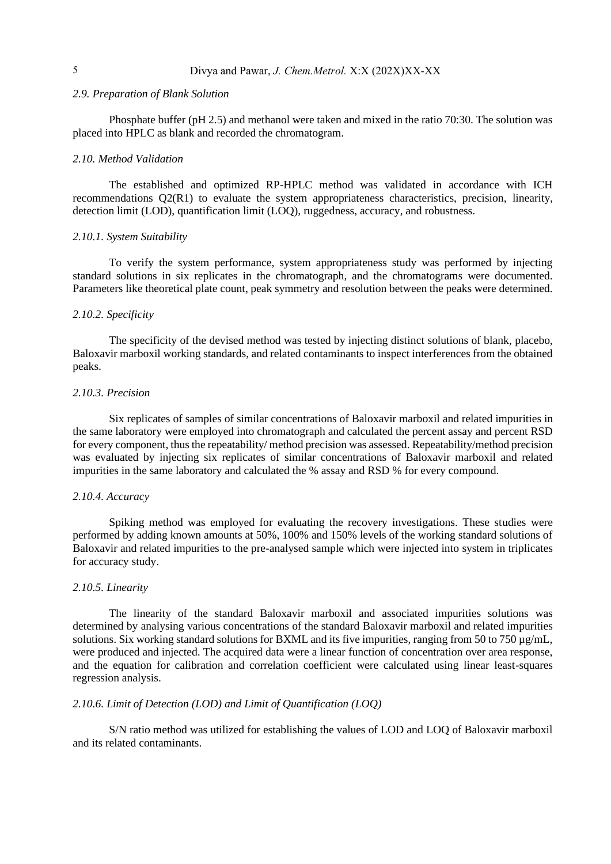#### *2.9. Preparation of Blank Solution*

Phosphate buffer (pH 2.5) and methanol were taken and mixed in the ratio 70:30. The solution was placed into HPLC as blank and recorded the chromatogram.

#### *2.10. Method Validation*

The established and optimized RP-HPLC method was validated in accordance with ICH recommendations Q2(R1) to evaluate the system appropriateness characteristics, precision, linearity, detection limit (LOD), quantification limit (LOQ), ruggedness, accuracy, and robustness.

#### *2.10.1. System Suitability*

To verify the system performance, system appropriateness study was performed by injecting standard solutions in six replicates in the chromatograph, and the chromatograms were documented. Parameters like theoretical plate count, peak symmetry and resolution between the peaks were determined.

#### *2.10.2. Specificity*

The specificity of the devised method was tested by injecting distinct solutions of blank, placebo, Baloxavir marboxil working standards, and related contaminants to inspect interferences from the obtained peaks.

## *2.10.3. Precision*

Six replicates of samples of similar concentrations of Baloxavir marboxil and related impurities in the same laboratory were employed into chromatograph and calculated the percent assay and percent RSD for every component, thus the repeatability/ method precision was assessed. Repeatability/method precision was evaluated by injecting six replicates of similar concentrations of Baloxavir marboxil and related impurities in the same laboratory and calculated the % assay and RSD % for every compound.

## *2.10.4. Accuracy*

Spiking method was employed for evaluating the recovery investigations. These studies were performed by adding known amounts at 50%, 100% and 150% levels of the working standard solutions of Baloxavir and related impurities to the pre-analysed sample which were injected into system in triplicates for accuracy study.

#### *2.10.5. Linearity*

The linearity of the standard Baloxavir marboxil and associated impurities solutions was determined by analysing various concentrations of the standard Baloxavir marboxil and related impurities solutions. Six working standard solutions for BXML and its five impurities, ranging from 50 to 750  $\mu$ g/mL, were produced and injected. The acquired data were a linear function of concentration over area response, and the equation for calibration and correlation coefficient were calculated using linear least-squares regression analysis.

## *2.10.6. Limit of Detection (LOD) and Limit of Quantification (LOQ)*

S/N ratio method was utilized for establishing the values of LOD and LOQ of Baloxavir marboxil and its related contaminants.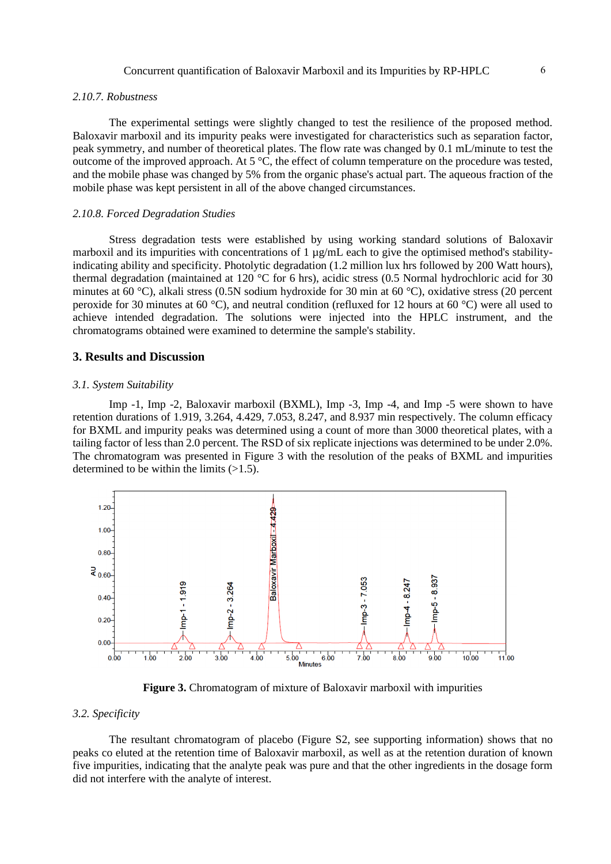#### *2.10.7. Robustness*

The experimental settings were slightly changed to test the resilience of the proposed method. Baloxavir marboxil and its impurity peaks were investigated for characteristics such as separation factor, peak symmetry, and number of theoretical plates. The flow rate was changed by 0.1 mL/minute to test the outcome of the improved approach. At 5 °C, the effect of column temperature on the procedure was tested, and the mobile phase was changed by 5% from the organic phase's actual part. The aqueous fraction of the mobile phase was kept persistent in all of the above changed circumstances.

## *2.10.8. Forced Degradation Studies*

Stress degradation tests were established by using working standard solutions of Baloxavir marboxil and its impurities with concentrations of 1 µg/mL each to give the optimised method's stabilityindicating ability and specificity. Photolytic degradation (1.2 million lux hrs followed by 200 Watt hours), thermal degradation (maintained at 120 °C for 6 hrs), acidic stress (0.5 Normal hydrochloric acid for 30 minutes at 60 °C), alkali stress (0.5N sodium hydroxide for 30 min at 60 °C), oxidative stress (20 percent peroxide for 30 minutes at 60 °C), and neutral condition (refluxed for 12 hours at 60 °C) were all used to achieve intended degradation. The solutions were injected into the HPLC instrument, and the chromatograms obtained were examined to determine the sample's stability.

## **3. Results and Discussion**

#### *3.1. System Suitability*

Imp -1, Imp -2, Baloxavir marboxil (BXML), Imp -3, Imp -4, and Imp -5 were shown to have retention durations of 1.919, 3.264, 4.429, 7.053, 8.247, and 8.937 min respectively. The column efficacy for BXML and impurity peaks was determined using a count of more than 3000 theoretical plates, with a tailing factor of less than 2.0 percent. The RSD of six replicate injections was determined to be under 2.0%. The chromatogram was presented in Figure 3 with the resolution of the peaks of BXML and impurities determined to be within the limits  $(>1.5)$ .



**Figure 3.** Chromatogram of mixture of Baloxavir marboxil with impurities

#### *3.2. Specificity*

The resultant chromatogram of placebo (Figure S2, see supporting information) shows that no peaks co eluted at the retention time of Baloxavir marboxil, as well as at the retention duration of known five impurities, indicating that the analyte peak was pure and that the other ingredients in the dosage form did not interfere with the analyte of interest.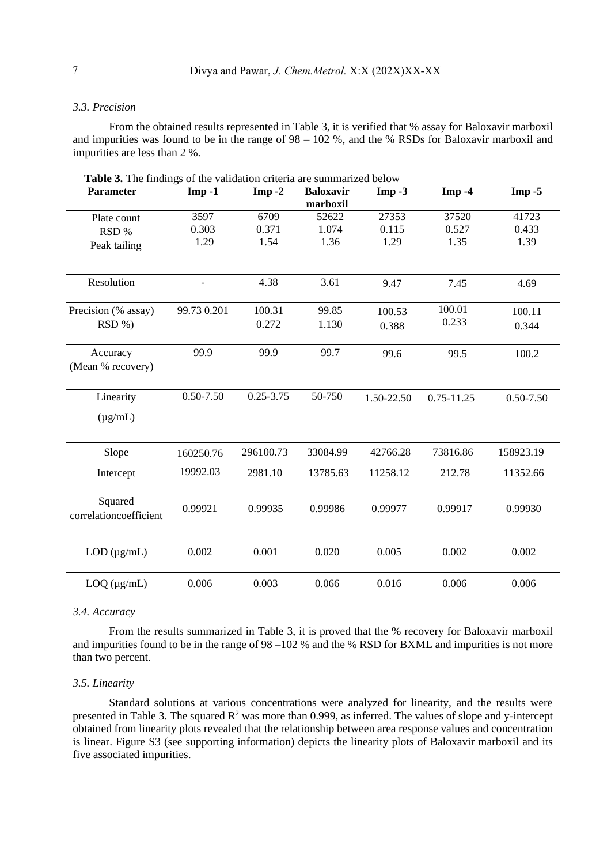## *3.3. Precision*

From the obtained results represented in Table 3, it is verified that % assay for Baloxavir marboxil and impurities was found to be in the range of 98 – 102 %, and the % RSDs for Baloxavir marboxil and impurities are less than 2 %.

| <b>Parameter</b>       | $Imp -1$                 | $Imp-2$       | <b>Baloxavir</b> | $Imp -3$   | $Imp -4$       | $Imp - 5$     |
|------------------------|--------------------------|---------------|------------------|------------|----------------|---------------|
|                        |                          |               | marboxil         |            |                |               |
| Plate count            | 3597                     | 6709          | 52622            | 27353      | 37520          | 41723         |
| RSD %                  | 0.303                    | 0.371         | 1.074            | 0.115      | 0.527          | 0.433         |
| Peak tailing           | 1.29                     | 1.54          | 1.36             | 1.29       | 1.35           | 1.39          |
|                        |                          |               |                  |            |                |               |
| Resolution             | $\overline{\phantom{a}}$ | 4.38          | 3.61             | 9.47       | 7.45           | 4.69          |
| Precision (% assay)    | 99.73 0.201              | 100.31        | 99.85            | 100.53     | 100.01         | 100.11        |
| RSD %)                 |                          | 0.272         | 1.130            | 0.388      | 0.233          | 0.344         |
|                        |                          |               |                  |            |                |               |
| Accuracy               | 99.9                     | 99.9          | 99.7             | 99.6       | 99.5           | 100.2         |
| (Mean % recovery)      |                          |               |                  |            |                |               |
|                        |                          |               |                  |            |                |               |
| Linearity              | $0.50 - 7.50$            | $0.25 - 3.75$ | 50-750           | 1.50-22.50 | $0.75 - 11.25$ | $0.50 - 7.50$ |
| $(\mu g/mL)$           |                          |               |                  |            |                |               |
|                        |                          |               |                  |            |                |               |
| Slope                  | 160250.76                | 296100.73     | 33084.99         | 42766.28   | 73816.86       | 158923.19     |
| Intercept              | 19992.03                 | 2981.10       | 13785.63         | 11258.12   | 212.78         | 11352.66      |
| Squared                |                          |               |                  |            |                |               |
| correlationcoefficient | 0.99921                  | 0.99935       | 0.99986          | 0.99977    | 0.99917        | 0.99930       |
|                        |                          |               |                  |            |                |               |
| $LOD$ ( $\mu$ g/mL)    | 0.002                    | 0.001         | 0.020            | 0.005      | 0.002          | 0.002         |
|                        |                          |               |                  |            |                |               |
| $LOQ$ ( $\mu$ g/mL)    | 0.006                    | 0.003         | 0.066            | 0.016      | 0.006          | 0.006         |

**Table 3.** The findings of the validation criteria are summarized below

## *3.4. Accuracy*

From the results summarized in Table 3, it is proved that the % recovery for Baloxavir marboxil and impurities found to be in the range of 98 –102 % and the % RSD for BXML and impurities is not more than two percent.

## *3.5. Linearity*

Standard solutions at various concentrations were analyzed for linearity, and the results were presented in Table 3. The squared  $\mathbb{R}^2$  was more than 0.999, as inferred. The values of slope and y-intercept obtained from linearity plots revealed that the relationship between area response values and concentration is linear. Figure S3 (see supporting information) depicts the linearity plots of Baloxavir marboxil and its five associated impurities.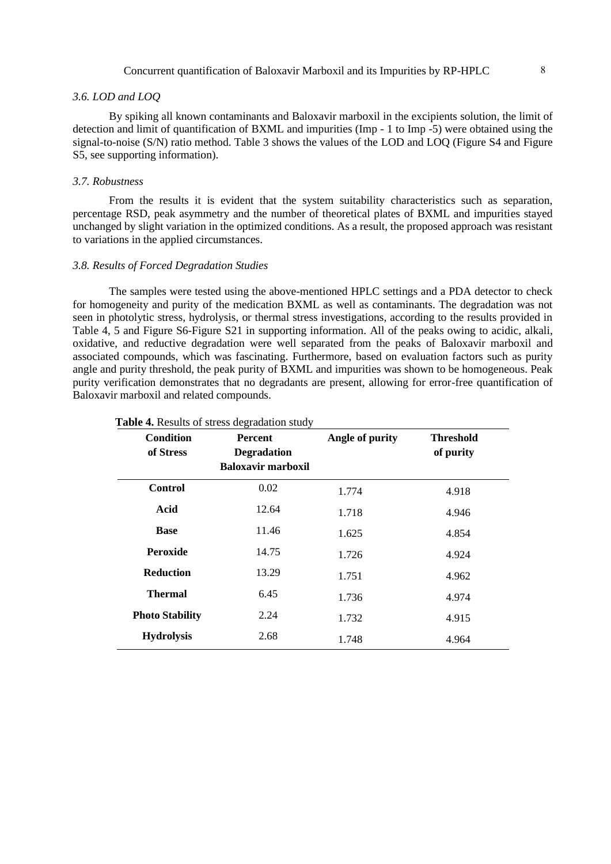## Concurrent quantification of Baloxavir Marboxil and its Impurities by RP-HPLC 8

## *3.6. LOD and LOQ*

By spiking all known contaminants and Baloxavir marboxil in the excipients solution, the limit of detection and limit of quantification of BXML and impurities (Imp - 1 to Imp -5) were obtained using the signal-to-noise (S/N) ratio method. Table 3 shows the values of the LOD and LOQ (Figure S4 and Figure S5, see supporting information).

#### *3.7. Robustness*

From the results it is evident that the system suitability characteristics such as separation, percentage RSD, peak asymmetry and the number of theoretical plates of BXML and impurities stayed unchanged by slight variation in the optimized conditions. As a result, the proposed approach was resistant to variations in the applied circumstances.

## *3.8. Results of Forced Degradation Studies*

The samples were tested using the above-mentioned HPLC settings and a PDA detector to check for homogeneity and purity of the medication BXML as well as contaminants. The degradation was not seen in photolytic stress, hydrolysis, or thermal stress investigations, according to the results provided in Table 4, 5 and Figure S6-Figure S21 in supporting information. All of the peaks owing to acidic, alkali, oxidative, and reductive degradation were well separated from the peaks of Baloxavir marboxil and associated compounds, which was fascinating. Furthermore, based on evaluation factors such as purity angle and purity threshold, the peak purity of BXML and impurities was shown to be homogeneous. Peak purity verification demonstrates that no degradants are present, allowing for error-free quantification of Baloxavir marboxil and related compounds.

| <b>Condition</b><br>of Stress | <b>Percent</b><br><b>Degradation</b><br><b>Baloxavir marboxil</b> | Angle of purity | <b>Threshold</b><br>of purity |
|-------------------------------|-------------------------------------------------------------------|-----------------|-------------------------------|
| <b>Control</b>                | 0.02                                                              | 1.774           | 4.918                         |
| Acid                          | 12.64                                                             | 1.718           | 4.946                         |
| <b>Base</b>                   | 11.46                                                             | 1.625           | 4.854                         |
| <b>Peroxide</b>               | 14.75                                                             | 1.726           | 4.924                         |
| <b>Reduction</b>              | 13.29                                                             | 1.751           | 4.962                         |
| Thermal                       | 6.45                                                              | 1.736           | 4.974                         |
| <b>Photo Stability</b>        | 2.24                                                              | 1.732           | 4.915                         |
| <b>Hydrolysis</b>             | 2.68                                                              | 1.748           | 4.964                         |

#### **Table 4.** Results of stress degradation study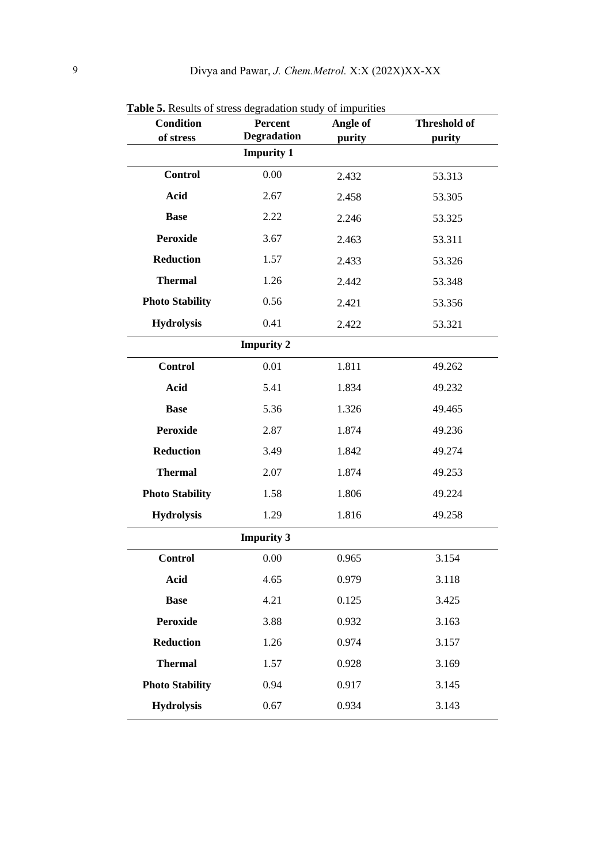| <b>Condition</b>       | Percent<br><b>Degradation</b> | Angle of<br><b>Threshold of</b> |        |  |
|------------------------|-------------------------------|---------------------------------|--------|--|
| of stress              | <b>Impurity 1</b>             | purity                          | purity |  |
| <b>Control</b>         | 0.00                          |                                 |        |  |
|                        |                               | 2.432                           | 53.313 |  |
| Acid                   | 2.67                          | 2.458                           | 53.305 |  |
| <b>Base</b>            | 2.22                          | 2.246                           | 53.325 |  |
| <b>Peroxide</b>        | 3.67                          | 2.463                           | 53.311 |  |
| <b>Reduction</b>       | 1.57                          | 2.433                           | 53.326 |  |
| <b>Thermal</b>         | 1.26                          | 2.442                           | 53.348 |  |
| <b>Photo Stability</b> | 0.56                          | 2.421                           | 53.356 |  |
| <b>Hydrolysis</b>      | 0.41                          | 2.422                           | 53.321 |  |
|                        | <b>Impurity 2</b>             |                                 |        |  |
| <b>Control</b>         | 0.01                          | 1.811                           | 49.262 |  |
| Acid                   | 5.41                          | 1.834                           | 49.232 |  |
| <b>Base</b>            | 5.36                          | 1.326                           | 49.465 |  |
| <b>Peroxide</b>        | 2.87                          | 1.874                           | 49.236 |  |
| <b>Reduction</b>       | 3.49                          | 1.842                           | 49.274 |  |
| <b>Thermal</b>         | 2.07                          | 1.874                           | 49.253 |  |
| <b>Photo Stability</b> | 1.58                          | 1.806                           | 49.224 |  |
| <b>Hydrolysis</b>      | 1.29                          | 1.816                           | 49.258 |  |
|                        | <b>Impurity 3</b>             |                                 |        |  |
| <b>Control</b>         | 0.00                          | 0.965                           | 3.154  |  |
| Acid                   | 4.65                          | 0.979                           | 3.118  |  |
| <b>Base</b>            | 4.21                          | 0.125                           | 3.425  |  |
| <b>Peroxide</b>        | 3.88                          | 0.932                           | 3.163  |  |
| <b>Reduction</b>       | 1.26                          | 0.974                           | 3.157  |  |
| <b>Thermal</b>         | 1.57                          | 0.928                           | 3.169  |  |
| <b>Photo Stability</b> | 0.94                          | 0.917                           | 3.145  |  |
| <b>Hydrolysis</b>      | 0.67                          | 0.934                           | 3.143  |  |

 **Table 5.** Results of stress degradation study of impurities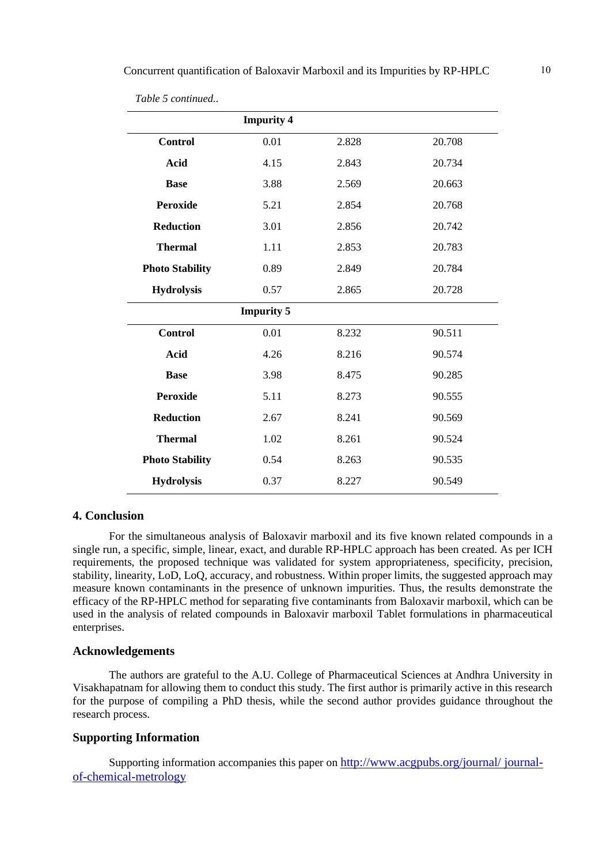|                        | <b>Impurity 4</b> |       |        |  |  |
|------------------------|-------------------|-------|--------|--|--|
| <b>Control</b>         | 0.01              | 2.828 | 20.708 |  |  |
| Acid                   | 4.15              | 2.843 | 20.734 |  |  |
| <b>Base</b>            | 3.88              | 2.569 | 20.663 |  |  |
| <b>Peroxide</b>        | 5.21              | 2.854 | 20.768 |  |  |
| <b>Reduction</b>       | 3.01              | 2.856 | 20.742 |  |  |
| <b>Thermal</b>         | 1.11              | 2.853 | 20.783 |  |  |
| <b>Photo Stability</b> | 0.89              | 2.849 | 20.784 |  |  |
| <b>Hydrolysis</b>      | 0.57              | 2.865 | 20.728 |  |  |
| <b>Impurity 5</b>      |                   |       |        |  |  |
| <b>Control</b>         | 0.01              | 8.232 | 90.511 |  |  |
| <b>Acid</b>            | 4.26              | 8.216 | 90.574 |  |  |
| <b>Base</b>            | 3.98              | 8.475 | 90.285 |  |  |
| <b>Peroxide</b>        | 5.11              | 8.273 | 90.555 |  |  |
| <b>Reduction</b>       | 2.67              | 8.241 | 90.569 |  |  |
| <b>Thermal</b>         | 1.02              | 8.261 | 90.524 |  |  |
| <b>Photo Stability</b> | 0.54              | 8.263 | 90.535 |  |  |
| <b>Hydrolysis</b>      | 0.37              | 8.227 | 90.549 |  |  |

*Table 5 continued..*

## **4. Conclusion**

For the simultaneous analysis of Baloxavir marboxil and its five known related compounds in a single run, a specific, simple, linear, exact, and durable RP-HPLC approach has been created. As per ICH requirements, the proposed technique was validated for system appropriateness, specificity, precision, stability, linearity, LoD, LoQ, accuracy, and robustness. Within proper limits, the suggested approach may measure known contaminants in the presence of unknown impurities. Thus, the results demonstrate the efficacy of the RP-HPLC method for separating five contaminants from Baloxavir marboxil, which can be used in the analysis of related compounds in Baloxavir marboxil Tablet formulations in pharmaceutical enterprises.

## **Acknowledgements**

The authors are grateful to the A.U. College of Pharmaceutical Sciences at Andhra University in Visakhapatnam for allowing them to conduct this study. The first author is primarily active in this research for the purpose of compiling a PhD thesis, while the second author provides guidance throughout the research process.

## **Supporting Information**

Supporting information accompanies this paper on [http://www.acgpubs.org/journal/ journal](http://www.acgpubs.org/journal/%20journal-of-chemical-metrology)[of-chemical-metrology](http://www.acgpubs.org/journal/%20journal-of-chemical-metrology)